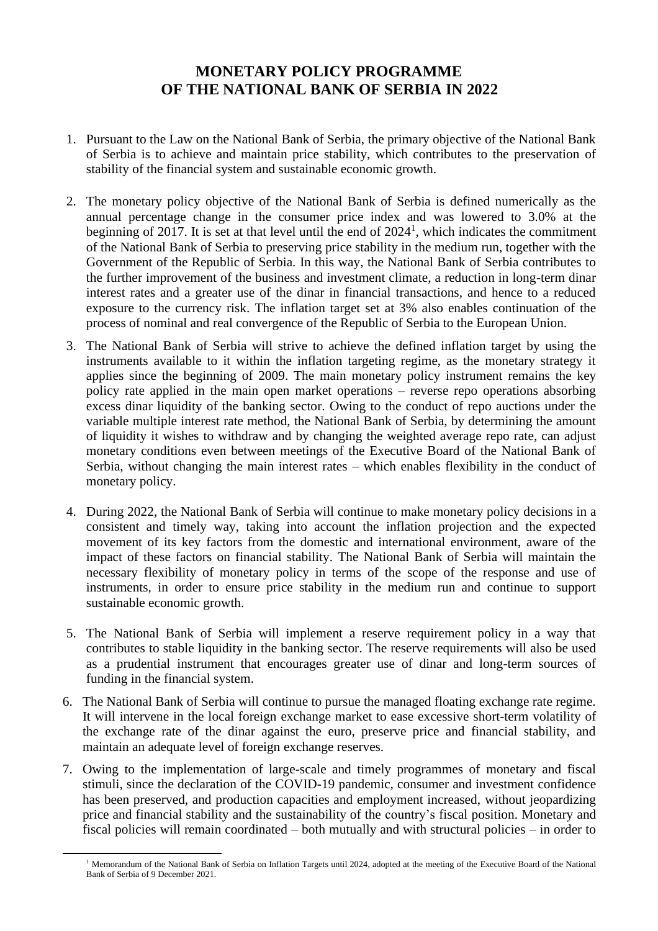## **MONETARY POLICY PROGRAMME OF THE NATIONAL BANK OF SERBIA IN 2022**

- 1. Pursuant to the Law on the National Bank of Serbia, the primary objective of the National Bank of Serbia is to achieve and maintain price stability, which contributes to the preservation of stability of the financial system and sustainable economic growth.
- 2. The monetary policy objective of the National Bank of Serbia is defined numerically as the annual percentage change in the consumer price index and was lowered to 3.0% at the beginning of 2017. It is set at that level until the end of 2024<sup>1</sup>, which indicates the commitment of the National Bank of Serbia to preserving price stability in the medium run, together with the Government of the Republic of Serbia. In this way, the National Bank of Serbia contributes to the further improvement of the business and investment climate, a reduction in long-term dinar interest rates and a greater use of the dinar in financial transactions, and hence to a reduced exposure to the currency risk. The inflation target set at 3% also enables continuation of the process of nominal and real convergence of the Republic of Serbia to the European Union.
- 3. The National Bank of Serbia will strive to achieve the defined inflation target by using the instruments available to it within the inflation targeting regime, as the monetary strategy it applies since the beginning of 2009. The main monetary policy instrument remains the key policy rate applied in the main open market operations – reverse repo operations absorbing excess dinar liquidity of the banking sector. Owing to the conduct of repo auctions under the variable multiple interest rate method, the National Bank of Serbia, by determining the amount of liquidity it wishes to withdraw and by changing the weighted average repo rate, can adjust monetary conditions even between meetings of the Executive Board of the National Bank of Serbia, without changing the main interest rates – which enables flexibility in the conduct of monetary policy.
- 4. During 2022, the National Bank of Serbia will continue to make monetary policy decisions in a consistent and timely way, taking into account the inflation projection and the expected movement of its key factors from the domestic and international environment, aware of the impact of these factors on financial stability. The National Bank of Serbia will maintain the necessary flexibility of monetary policy in terms of the scope of the response and use of instruments, in order to ensure price stability in the medium run and continue to support sustainable economic growth.
- 5. The National Bank of Serbia will implement a reserve requirement policy in a way that contributes to stable liquidity in the banking sector. The reserve requirements will also be used as a prudential instrument that encourages greater use of dinar and long-term sources of funding in the financial system.
- 6. The National Bank of Serbia will continue to pursue the managed floating exchange rate regime. It will intervene in the local foreign exchange market to ease excessive short-term volatility of the exchange rate of the dinar against the euro, preserve price and financial stability, and maintain an adequate level of foreign exchange reserves.
- 7. Owing to the implementation of large-scale and timely programmes of monetary and fiscal stimuli, since the declaration of the COVID-19 pandemic, consumer and investment confidence has been preserved, and production capacities and employment increased, without jeopardizing price and financial stability and the sustainability of the country's fiscal position. Monetary and fiscal policies will remain coordinated – both mutually and with structural policies – in order to

<sup>&</sup>lt;sup>1</sup> Memorandum of the National Bank of Serbia on Inflation Targets until 2024, adopted at the meeting of the Executive Board of the National Bank of Serbia of 9 December 2021.